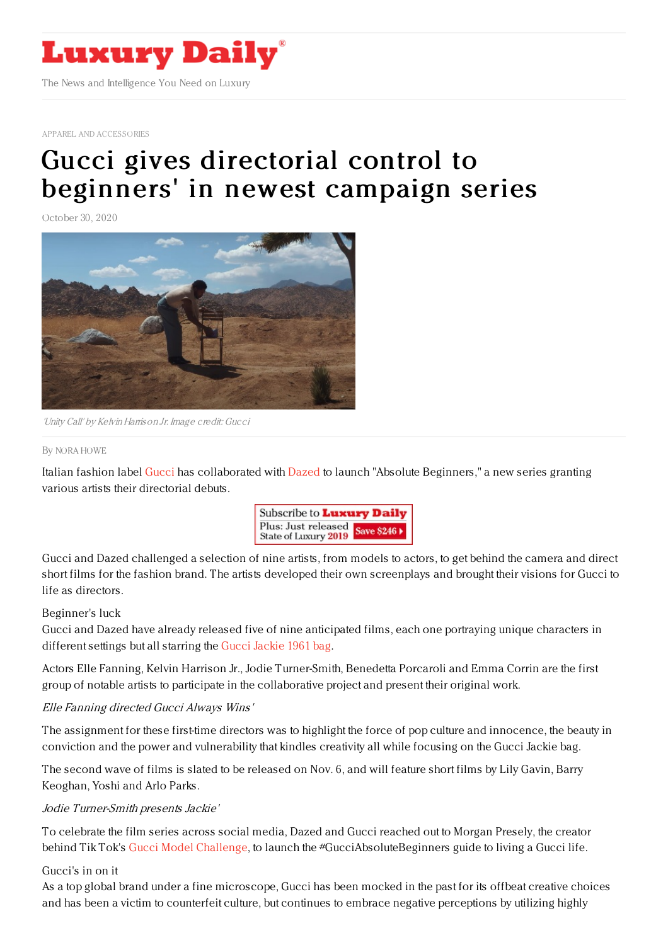

APPAREL AND [ACCESSORIES](https://www.luxurydaily.com/category/sectors/apparel-and-accessories/)

# Gucci gives [directorial](https://www.luxurydaily.com/?p=316111) control to beginners' in newest campaign series

October 30, 2020



'Unity Call' by Kelvin Harrison Jr. Image credit: Gucci

### By NORA [HOWE](file:///author/nora-howe)

Italian fashion label [Gucci](https://www.gucci.com/us/en/) has collaborated with [Dazed](https://www.dazeddigital.com/) to launch "Absolute Beginners," a new series granting various artists their directorial debuts.



Gucci and Dazed challenged a selection of nine artists, from models to actors, to get behind the camera and direct short films for the fashion brand. The artists developed their own screenplays and brought their visions for Gucci to life as directors.

## Beginner's luck

Gucci and Dazed have already released five of nine anticipated films, each one portraying unique characters in different settings but all starring the Gucci [Jackie](https://www.gucci.com/us/en/st/capsule/jackie-1961) 1961 bag.

Actors Elle Fanning, Kelvin Harrison Jr., Jodie Turner-Smith, Benedetta Porcaroli and Emma Corrin are the first group of notable artists to participate in the collaborative project and present their original work.

## Elle Fanning directed Gucci Always Wins'

The assignment for these first-time directors was to highlight the force of pop culture and innocence, the beauty in conviction and the power and vulnerability that kindles creativity all while focusing on the Gucci Jackie bag.

The second wave of films is slated to be released on Nov. 6, and will feature short films by Lily Gavin, Barry Keoghan, Yoshi and Arlo Parks.

## Jodie Turner-Smith presents Jackie'

To celebrate the film series across social media, Dazed and Gucci reached out to Morgan Presely, the creator behind Tik Tok's Gucci Model [Challenge](https://www.tiktok.com/music/original-sound-6870262991619721986?lang=en), to launch the #GucciAbsoluteBeginners guide to living a Gucci life.

## Gucci's in on it

As a top global brand under a fine microscope, Gucci has been mocked in the past for its offbeat creative choices and has been a victim to counterfeit culture, but continues to embrace negative perceptions by utilizing highly